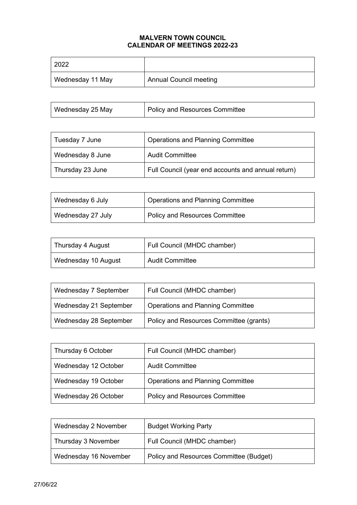## **MALVERN TOWN COUNCIL CALENDAR OF MEETINGS 2022-23**

| 2022             |                               |
|------------------|-------------------------------|
| Wednesday 11 May | <b>Annual Council meeting</b> |

| Wednesday 25 May | Policy and Resources Committee |
|------------------|--------------------------------|
|------------------|--------------------------------|

| Tuesday 7 June   | <b>Operations and Planning Committee</b>           |
|------------------|----------------------------------------------------|
| Wednesday 8 June | <b>Audit Committee</b>                             |
| Thursday 23 June | Full Council (year end accounts and annual return) |

| Wednesday 6 July  | Operations and Planning Committee     |
|-------------------|---------------------------------------|
| Wednesday 27 July | <b>Policy and Resources Committee</b> |

| Thursday 4 August   | Full Council (MHDC chamber) |
|---------------------|-----------------------------|
| Wednesday 10 August | <b>Audit Committee</b>      |

| Wednesday 7 September  | Full Council (MHDC chamber)              |
|------------------------|------------------------------------------|
| Wednesday 21 September | <b>Operations and Planning Committee</b> |
| Wednesday 28 September | Policy and Resources Committee (grants)  |

| Thursday 6 October   | Full Council (MHDC chamber)              |
|----------------------|------------------------------------------|
| Wednesday 12 October | <b>Audit Committee</b>                   |
| Wednesday 19 October | <b>Operations and Planning Committee</b> |
| Wednesday 26 October | <b>Policy and Resources Committee</b>    |

| Wednesday 2 November  | <b>Budget Working Party</b>             |
|-----------------------|-----------------------------------------|
| Thursday 3 November   | Full Council (MHDC chamber)             |
| Wednesday 16 November | Policy and Resources Committee (Budget) |